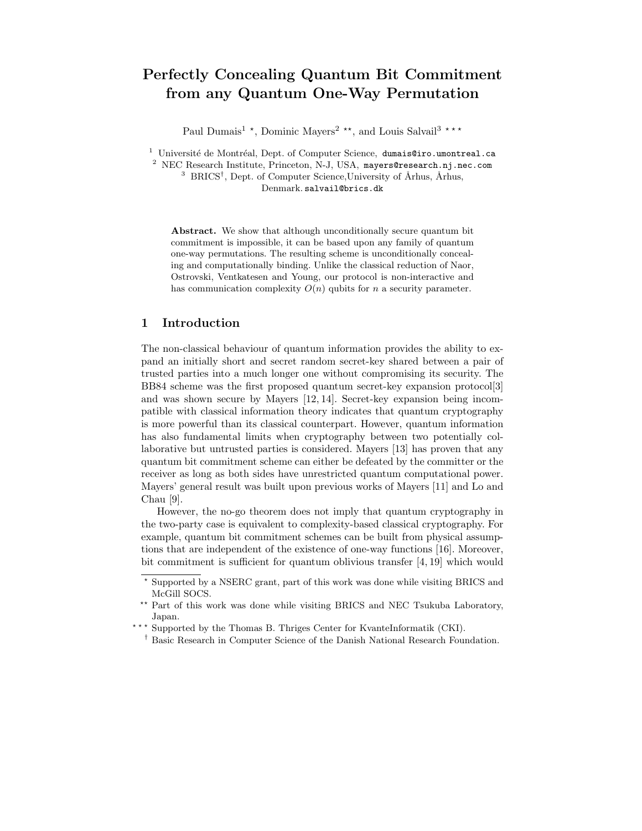# Perfectly Concealing Quantum Bit Commitment from any Quantum One-Way Permutation

Paul Dumais<sup>1</sup> \*, Dominic Mayers<sup>2</sup> \*\*, and Louis Salvail<sup>3</sup> \*\*\*

<sup>1</sup> Université de Montréal, Dept. of Computer Science, dumais@iro.umontreal.ca

<sup>2</sup> NEC Research Institute, Princeton, N-J, USA, mayers@research.nj.nec.com <sup>3</sup> BRICS<sup>†</sup>, Dept. of Computer Science, University of Århus, Århus, Denmark. salvail@brics.dk

Abstract. We show that although unconditionally secure quantum bit commitment is impossible, it can be based upon any family of quantum one-way permutations. The resulting scheme is unconditionally concealing and computationally binding. Unlike the classical reduction of Naor, Ostrovski, Ventkatesen and Young, our protocol is non-interactive and has communication complexity  $O(n)$  qubits for n a security parameter.

## 1 Introduction

The non-classical behaviour of quantum information provides the ability to expand an initially short and secret random secret-key shared between a pair of trusted parties into a much longer one without compromising its security. The BB84 scheme was the first proposed quantum secret-key expansion protocol[3] and was shown secure by Mayers [12, 14]. Secret-key expansion being incompatible with classical information theory indicates that quantum cryptography is more powerful than its classical counterpart. However, quantum information has also fundamental limits when cryptography between two potentially collaborative but untrusted parties is considered. Mayers [13] has proven that any quantum bit commitment scheme can either be defeated by the committer or the receiver as long as both sides have unrestricted quantum computational power. Mayers' general result was built upon previous works of Mayers [11] and Lo and Chau [9].

However, the no-go theorem does not imply that quantum cryptography in the two-party case is equivalent to complexity-based classical cryptography. For example, quantum bit commitment schemes can be built from physical assumptions that are independent of the existence of one-way functions [16]. Moreover, bit commitment is sufficient for quantum oblivious transfer [4, 19] which would

<sup>?</sup> Supported by a NSERC grant, part of this work was done while visiting BRICS and McGill SOCS.

<sup>\*\*</sup> Part of this work was done while visiting BRICS and NEC Tsukuba Laboratory, Japan.

<sup>\*\*\*</sup> Supported by the Thomas B. Thriges Center for KvanteInformatik (CKI).

<sup>†</sup> Basic Research in Computer Science of the Danish National Research Foundation.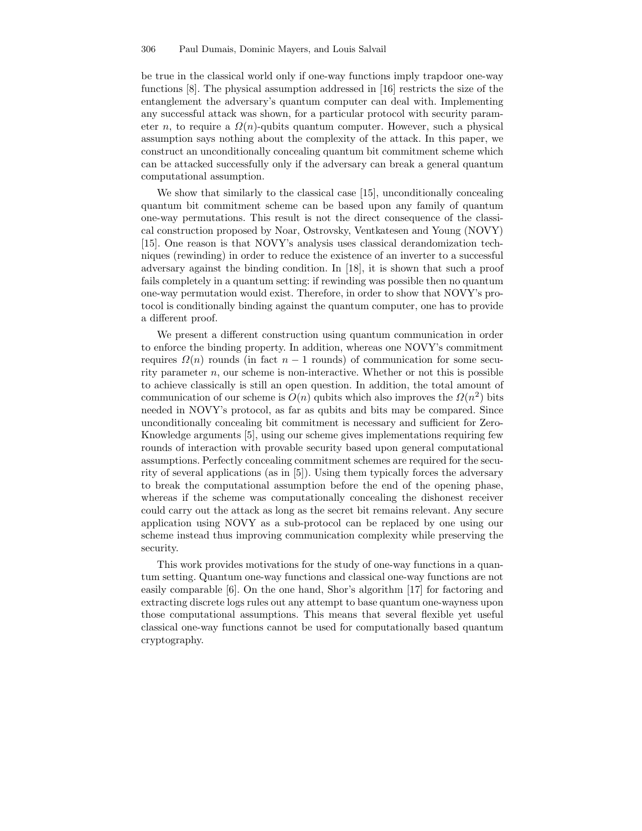be true in the classical world only if one-way functions imply trapdoor one-way functions [8]. The physical assumption addressed in [16] restricts the size of the entanglement the adversary's quantum computer can deal with. Implementing any successful attack was shown, for a particular protocol with security parameter *n*, to require a  $\Omega(n)$ -qubits quantum computer. However, such a physical assumption says nothing about the complexity of the attack. In this paper, we construct an unconditionally concealing quantum bit commitment scheme which can be attacked successfully only if the adversary can break a general quantum computational assumption.

We show that similarly to the classical case [15], unconditionally concealing quantum bit commitment scheme can be based upon any family of quantum one-way permutations. This result is not the direct consequence of the classical construction proposed by Noar, Ostrovsky, Ventkatesen and Young (NOVY) [15]. One reason is that NOVY's analysis uses classical derandomization techniques (rewinding) in order to reduce the existence of an inverter to a successful adversary against the binding condition. In [18], it is shown that such a proof fails completely in a quantum setting: if rewinding was possible then no quantum one-way permutation would exist. Therefore, in order to show that NOVY's protocol is conditionally binding against the quantum computer, one has to provide a different proof.

We present a different construction using quantum communication in order to enforce the binding property. In addition, whereas one NOVY's commitment requires  $\Omega(n)$  rounds (in fact  $n-1$  rounds) of communication for some security parameter  $n$ , our scheme is non-interactive. Whether or not this is possible to achieve classically is still an open question. In addition, the total amount of communication of our scheme is  $O(n)$  qubits which also improves the  $\Omega(n^2)$  bits needed in NOVY's protocol, as far as qubits and bits may be compared. Since unconditionally concealing bit commitment is necessary and sufficient for Zero-Knowledge arguments [5], using our scheme gives implementations requiring few rounds of interaction with provable security based upon general computational assumptions. Perfectly concealing commitment schemes are required for the security of several applications (as in [5]). Using them typically forces the adversary to break the computational assumption before the end of the opening phase, whereas if the scheme was computationally concealing the dishonest receiver could carry out the attack as long as the secret bit remains relevant. Any secure application using NOVY as a sub-protocol can be replaced by one using our scheme instead thus improving communication complexity while preserving the security.

This work provides motivations for the study of one-way functions in a quantum setting. Quantum one-way functions and classical one-way functions are not easily comparable [6]. On the one hand, Shor's algorithm [17] for factoring and extracting discrete logs rules out any attempt to base quantum one-wayness upon those computational assumptions. This means that several flexible yet useful classical one-way functions cannot be used for computationally based quantum cryptography.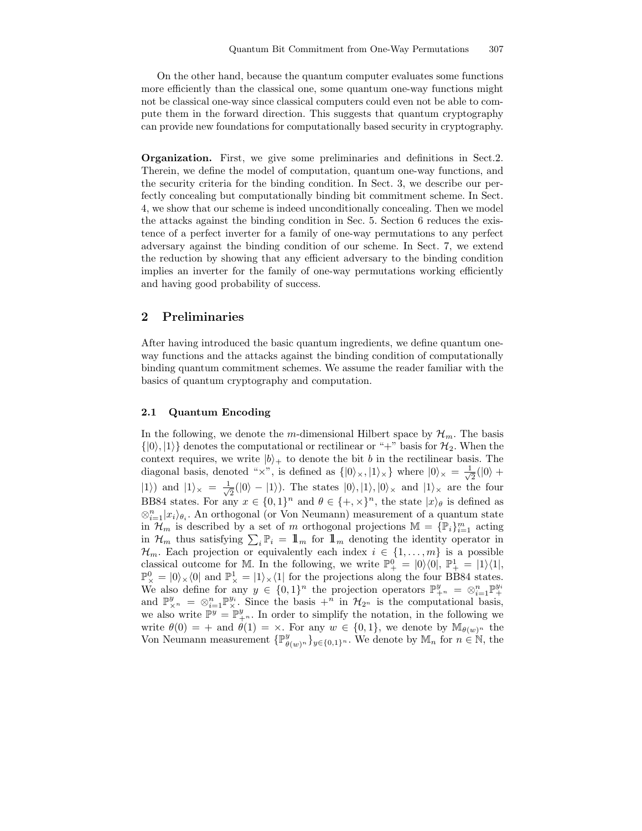On the other hand, because the quantum computer evaluates some functions more efficiently than the classical one, some quantum one-way functions might not be classical one-way since classical computers could even not be able to compute them in the forward direction. This suggests that quantum cryptography can provide new foundations for computationally based security in cryptography.

Organization. First, we give some preliminaries and definitions in Sect.2. Therein, we define the model of computation, quantum one-way functions, and the security criteria for the binding condition. In Sect. 3, we describe our perfectly concealing but computationally binding bit commitment scheme. In Sect. 4, we show that our scheme is indeed unconditionally concealing. Then we model the attacks against the binding condition in Sec. 5. Section 6 reduces the existence of a perfect inverter for a family of one-way permutations to any perfect adversary against the binding condition of our scheme. In Sect. 7, we extend the reduction by showing that any efficient adversary to the binding condition implies an inverter for the family of one-way permutations working efficiently and having good probability of success.

## 2 Preliminaries

After having introduced the basic quantum ingredients, we define quantum oneway functions and the attacks against the binding condition of computationally binding quantum commitment schemes. We assume the reader familiar with the basics of quantum cryptography and computation.

#### 2.1 Quantum Encoding

In the following, we denote the m-dimensional Hilbert space by  $\mathcal{H}_m$ . The basis  $\{|0\rangle, |1\rangle\}$  denotes the computational or rectilinear or "+" basis for  $\mathcal{H}_2$ . When the context requires, we write  $|b\rangle_+$  to denote the bit b in the rectilinear basis. The diagonal basis, denoted " $\times$ ", is defined as  $\{|0\rangle \times, |1\rangle \times\}$  where  $|0\rangle \times = \frac{1}{\sqrt{2\pi}}$  $\frac{1}{2}(|0\rangle +$  $|1\rangle$  and  $|1\rangle_{\times} = \frac{1}{\sqrt{2}}$  $\frac{1}{2}(|0\rangle - |1\rangle)$ . The states  $|0\rangle, |1\rangle, |0\rangle$  and  $|1\rangle$  are the four BB84 states. For any  $x \in \{0,1\}^n$  and  $\theta \in \{+, \times\}^n$ , the state  $|x\rangle_{\theta}$  is defined as  $\otimes_{i=1}^n |x_i\rangle_{\theta_i}$ . An orthogonal (or Von Neumann) measurement of a quantum state in  $\mathcal{H}_m$  is described by a set of m orthogonal projections  $\mathbb{M} = {\mathbb{P}_i}_{i=1}^m$  acting in  $\mathcal{H}_m$  thus satisfying  $\sum_i \mathbb{P}_i = \mathbb{1}_m$  for  $\mathbb{1}_m$  denoting the identity operator in  $\mathcal{H}_m$ . Each projection or equivalently each index  $i \in \{1, \ldots, m\}$  is a possible classical outcome for M. In the following, we write  $\mathbb{P}^0_+ = |0\rangle\langle 0|, \mathbb{P}^1_+ = |1\rangle\langle 1|,$  $\mathbb{P}_{\times}^{0} = |0\rangle_{\times}\langle 0|$  and  $\mathbb{P}_{\times}^{1} = |1\rangle_{\times}\langle 1|$  for the projections along the four BB84 states. We also define for any  $y \in \{0,1\}^n$  the projection operators  $\mathbb{P}^y_{+^n} = \otimes_{i=1}^n \mathbb{P}^{y_i}_{+^n}$ and  $\mathbb{P}_{\times}^y = \otimes_{i=1}^n \mathbb{P}_{\times}^{y_i}$ . Since the basis  $+^n$  in  $\mathcal{H}_{2^n}$  is the computational basis, we also write  $\mathbb{P}^y = \mathbb{P}^y_{+^n}$ . In order to simplify the notation, in the following we write  $\theta(0) = +$  and  $\dot{\theta}(1) = \times$ . For any  $w \in \{0, 1\}$ , we denote by  $\mathbb{M}_{\theta(w)^n}$  the Von Neumann measurement  $\{\mathbb{P}^y_{\theta(w)^n}\}_{y\in\{0,1\}^n}$ . We denote by  $\mathbb{M}_n$  for  $n \in \mathbb{N}$ , the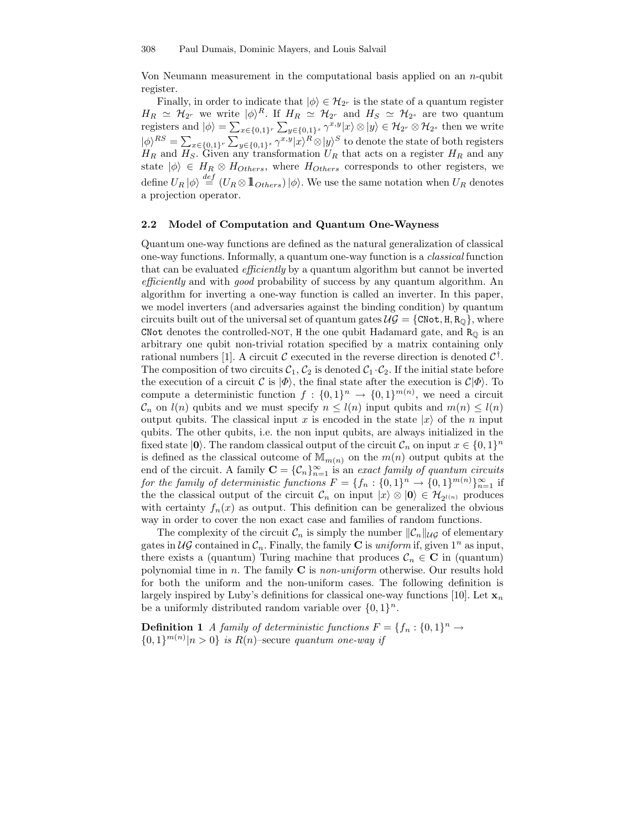Von Neumann measurement in the computational basis applied on an  $n$ -qubit register.

Finally, in order to indicate that  $|\phi\rangle \in \mathcal{H}_{2^r}$  is the state of a quantum register  $H_R \simeq \mathcal{H}_{2^r}$  we write  $|\phi\rangle^R$ . If  $H_R \simeq \mathcal{H}_{2^r}$  and  $H_S \simeq \mathcal{H}_{2^s}$  are two quantum registers and  $|\phi\rangle = \sum_{x \in \{0,1\}^r} \sum_{y \in \{0,1\}^s} \gamma^{x,y} |x\rangle \otimes |y\rangle \in \mathcal{H}_{2^r} \otimes \mathcal{H}_{2^s}$  then we write  $|\phi\rangle^{RS} = \sum_{x \in \{0,1\}^r} \sum_{y \in \{0,1\}^s} \gamma^{x,y} |x\rangle^R \otimes |y\rangle^S$  to denote the state of both registers  $H_R$  and  $H_S$ . Given any transformation  $U_R$  that acts on a register  $H_R$  and any state  $|\phi\rangle \in H_R \otimes H_{Others}$ , where  $H_{Others}$  corresponds to other registers, we define  $U_R |\phi\rangle \stackrel{def}{=} (U_R \otimes \mathbb{1}_{Others}) |\phi\rangle$ . We use the same notation when  $U_R$  denotes a projection operator.

#### 2.2 Model of Computation and Quantum One-Wayness

Quantum one-way functions are defined as the natural generalization of classical one-way functions. Informally, a quantum one-way function is a classical function that can be evaluated *efficiently* by a quantum algorithm but cannot be inverted efficiently and with good probability of success by any quantum algorithm. An algorithm for inverting a one-way function is called an inverter. In this paper, we model inverters (and adversaries against the binding condition) by quantum circuits built out of the universal set of quantum gates  $\mathcal{UG} = \{ \text{CNot}, \text{H}, \text{R}_{\text{Q}} \},$  where CNot denotes the controlled-NOT, H the one qubit Hadamard gate, and  $R_{\mathbb{Q}}$  is an arbitrary one qubit non-trivial rotation specified by a matrix containing only rational numbers [1]. A circuit  $\mathcal C$  executed in the reverse direction is denoted  $\mathcal C^{\dagger}$ . The composition of two circuits  $C_1, C_2$  is denoted  $C_1 \cdot C_2$ . If the initial state before the execution of a circuit C is  $|\Phi\rangle$ , the final state after the execution is  $\mathcal{C}|\Phi\rangle$ . To compute a deterministic function  $f: \{0,1\}^n \to \{0,1\}^{m(n)}$ , we need a circuit  $\mathcal{C}_n$  on  $l(n)$  qubits and we must specify  $n \leq l(n)$  input qubits and  $m(n) \leq l(n)$ output qubits. The classical input x is encoded in the state  $|x\rangle$  of the n input qubits. The other qubits, i.e. the non input qubits, are always initialized in the fixed state  $|0\rangle$ . The random classical output of the circuit  $\mathcal{C}_n$  on input  $x \in \{0,1\}^n$ is defined as the classical outcome of  $\mathbb{M}_{m(n)}$  on the  $m(n)$  output qubits at the end of the circuit. A family  $\mathbf{C} = \{C_n\}_{n=1}^{\infty}$  is an *exact family of quantum circuits* for the family of deterministic functions  $F = \{f_n : \{0,1\}^n \to \{0,1\}^{m(n)}\}_{n=1}^{\infty}$  if the the classical output of the circuit  $\mathcal{C}_n$  on input  $|x\rangle \otimes |0\rangle \in \mathcal{H}_{2^{l(n)}}$  produces with certainty  $f_n(x)$  as output. This definition can be generalized the obvious way in order to cover the non exact case and families of random functions.

The complexity of the circuit  $\mathcal{C}_n$  is simply the number  $\|\mathcal{C}_n\|_{\mathcal{U}\mathcal{G}}$  of elementary gates in  $\mathcal{UG}$  contained in  $\mathcal{C}_n$ . Finally, the family **C** is *uniform* if, given  $1^n$  as input, there exists a (quantum) Turing machine that produces  $\mathcal{C}_n \in \mathbb{C}$  in (quantum) polynomial time in n. The family  $C$  is non-uniform otherwise. Our results hold for both the uniform and the non-uniform cases. The following definition is largely inspired by Luby's definitions for classical one-way functions [10]. Let  $\mathbf{x}_n$ be a uniformly distributed random variable over  $\{0,1\}^n$ .

**Definition 1** A family of deterministic functions  $F = \{f_n : \{0,1\}^n \to \mathbb{R}^n\}$  $\{0,1\}^{m(n)}|n>0\}$  is  $R(n)$ -secure quantum one-way if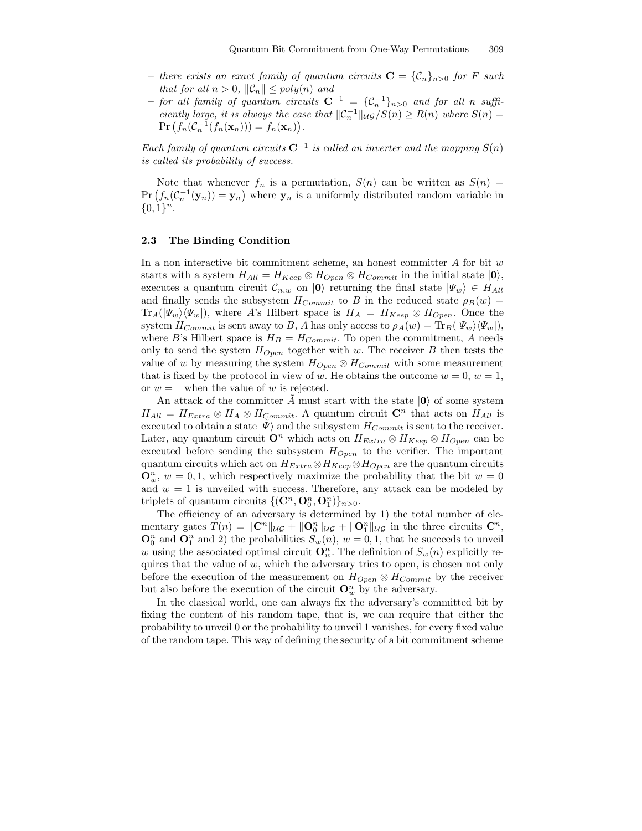- there exists an exact family of quantum circuits  $\mathbf{C} = {\mathcal{C}_n}_{n>0}$  for F such that for all  $n > 0$ ,  $\|\mathcal{C}_n\| \leq poly(n)$  and
- $-$  for all family of quantum circuits  $C^{-1} = \{C_n^{-1}\}_{n>0}$  and for all n sufficiently large, it is always the case that  $\mathcal{C}_n^{-1} \| u \circ S(n) \ge R(n)$  where  $S(n) =$  $Pr(f_n(C_n^{-1}(f_n(\mathbf{x}_n))) = f_n(\mathbf{x}_n)).$

Each family of quantum circuits  $C^{-1}$  is called an inverter and the mapping  $S(n)$ is called its probability of success.

Note that whenever  $f_n$  is a permutation,  $S(n)$  can be written as  $S(n)$  =  $Pr(f_n(\mathcal{C}_n^{-1}(\mathbf{y}_n)) = \mathbf{y}_n)$  where  $\mathbf{y}_n$  is a uniformly distributed random variable in  $\{0, 1\}^n$ .

#### 2.3 The Binding Condition

In a non interactive bit commitment scheme, an honest committer  $A$  for bit  $w$ starts with a system  $H_{All} = H_{Keep} \otimes H_{Open} \otimes H_{Commit}$  in the initial state  $|0\rangle$ , executes a quantum circuit  $\mathcal{C}_{n,w}$  on  $|0\rangle$  returning the final state  $|\Psi_w\rangle \in H_{All}$ and finally sends the subsystem  $H_{Commit}$  to B in the reduced state  $\rho_B(w)$  =  $\text{Tr}_A(|\Psi_w\rangle\langle\Psi_w|)$ , where A's Hilbert space is  $H_A = H_{Keep} \otimes H_{Open}$ . Once the system  $H_{Commit}$  is sent away to B, A has only access to  $\rho_A(w) = \text{Tr}_B(|\Psi_w\rangle\langle\Psi_w|),$ where B's Hilbert space is  $H_B = H_{Commit}$ . To open the commitment, A needs only to send the system  $H_{Open}$  together with w. The receiver B then tests the value of w by measuring the system  $H_{Open} \otimes H_{Commit}$  with some measurement that is fixed by the protocol in view of w. He obtains the outcome  $w = 0, w = 1$ , or  $w = \perp$  when the value of w is rejected.

An attack of the committer A must start with the state  $|0\rangle$  of some system  $H_{All} = H_{Extra} \otimes H_A \otimes H_{Commit}.$  A quantum circuit  $\mathbb{C}^n$  that acts on  $H_{All}$  is executed to obtain a state  $|\Psi\rangle$  and the subsystem  $H_{Commit}$  is sent to the receiver. Later, any quantum circuit  $\mathbf{O}^n$  which acts on  $H_{Extra} \otimes H_{Keep} \otimes H_{Open}$  can be executed before sending the subsystem  $H_{Open}$  to the verifier. The important quantum circuits which act on  $H_{Extra} \otimes H_{Kee} \otimes H_{Open}$  are the quantum circuits  $\mathbf{O}_w^n$ ,  $w = 0, 1$ , which respectively maximize the probability that the bit  $w = 0$ and  $w = 1$  is unveiled with success. Therefore, any attack can be modeled by triplets of quantum circuits  $\{(\mathbf{C}^n, \mathbf{O}_0^n, \mathbf{O}_1^n)\}_{n>0}$ .

The efficiency of an adversary is determined by 1) the total number of elementary gates  $T(n) = ||\mathbf{C}^n||_{\mathcal{U}\mathcal{G}} + ||\mathbf{O}_0^n||_{\mathcal{U}\mathcal{G}} + ||\mathbf{O}_1^n||_{\mathcal{U}\mathcal{G}}$  in the three circuits  $\mathbf{C}^n$ ,  $\mathbf{O}_0^n$  and  $\mathbf{O}_1^n$  and 2) the probabilities  $S_w(n)$ ,  $w = 0, 1$ , that he succeeds to unveil w using the associated optimal circuit  $\mathbf{O}_w^n$ . The definition of  $S_w(n)$  explicitly requires that the value of  $w$ , which the adversary tries to open, is chosen not only before the execution of the measurement on  $H_{Open} \otimes H_{Commit}$  by the receiver but also before the execution of the circuit  $\mathbf{O}_w^n$  by the adversary.

In the classical world, one can always fix the adversary's committed bit by fixing the content of his random tape, that is, we can require that either the probability to unveil 0 or the probability to unveil 1 vanishes, for every fixed value of the random tape. This way of defining the security of a bit commitment scheme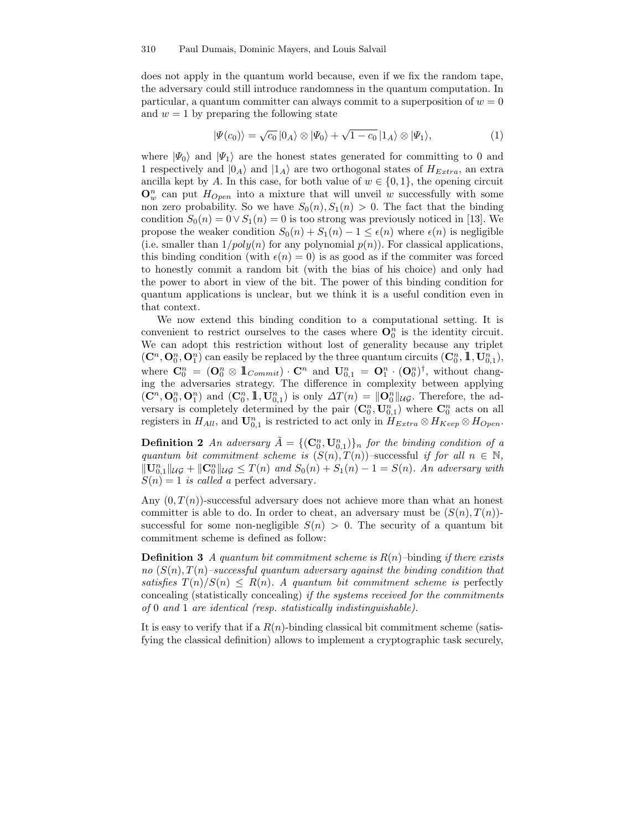does not apply in the quantum world because, even if we fix the random tape, the adversary could still introduce randomness in the quantum computation. In particular, a quantum committer can always commit to a superposition of  $w = 0$ and  $w = 1$  by preparing the following state

$$
|\Psi(c_0)\rangle = \sqrt{c_0} |0_A\rangle \otimes |\Psi_0\rangle + \sqrt{1-c_0} |1_A\rangle \otimes |\Psi_1\rangle, \tag{1}
$$

where  $|\Psi_0\rangle$  and  $|\Psi_1\rangle$  are the honest states generated for committing to 0 and 1 respectively and  $|0_A\rangle$  and  $|1_A\rangle$  are two orthogonal states of  $H_{Extra}$ , an extra ancilla kept by A. In this case, for both value of  $w \in \{0,1\}$ , the opening circuit  $\mathbf{O}_w^n$  can put  $H_{Open}$  into a mixture that will unveil w successfully with some non zero probability. So we have  $S_0(n), S_1(n) > 0$ . The fact that the binding condition  $S_0(n) = 0 \vee S_1(n) = 0$  is too strong was previously noticed in [13]. We propose the weaker condition  $S_0(n) + S_1(n) - 1 \leq \epsilon(n)$  where  $\epsilon(n)$  is negligible (i.e. smaller than  $1/poly(n)$  for any polynomial  $p(n)$ ). For classical applications, this binding condition (with  $\epsilon(n) = 0$ ) is as good as if the commiter was forced to honestly commit a random bit (with the bias of his choice) and only had the power to abort in view of the bit. The power of this binding condition for quantum applications is unclear, but we think it is a useful condition even in that context.

We now extend this binding condition to a computational setting. It is convenient to restrict ourselves to the cases where  $\mathbf{O}_0^n$  is the identity circuit. We can adopt this restriction without lost of generality because any triplet  $(\mathbf{C}^n, \mathbf{O}_0^n, \mathbf{O}_1^n)$  can easily be replaced by the three quantum circuits  $(\mathbf{C}_0^n, \mathbb{1}, \mathbf{U}_{0,1}^n)$ , where  $\mathbf{C}_0^n = (\mathbf{O}_0^n \otimes \mathbb{1}_{Commit}) \cdot \mathbf{C}^n$  and  $\mathbf{U}_{0,1}^n = \mathbf{O}_1^n \cdot (\mathbf{O}_0^n)^{\dagger}$ , without changing the adversaries strategy. The difference in complexity between applying  $(\mathbf{C}^n, \mathbf{O}_0^n, \mathbf{O}_1^n)$  and  $(\mathbf{C}_0^n, \mathbb{1}, \mathbf{U}_{0,1}^n)$  is only  $\Delta T(n) = ||\mathbf{O}_0^n||_{\mathcal{U}\mathcal{G}}$ . Therefore, the adversary is completely determined by the pair  $(\mathbf{C}_0^n, \mathbf{U}_{0,1}^n)$  where  $\mathbf{C}_0^n$  acts on all registers in  $H_{All}$ , and  $\mathbf{U}_{0,1}^n$  is restricted to act only in  $H_{Extra} \otimes H_{Keep} \otimes H_{Open}$ .

**Definition 2** An adversary  $\tilde{A} = \{(\mathbf{C}_0^n, \mathbf{U}_{0,1}^n)\}_n$  for the binding condition of a quantum bit commitment scheme is  $(S(n), T(n))$ –successful if for all  $n \in \mathbb{N}$ ,  $\|\mathbf{U}_{0,1}^n\|_{\mathcal{U}\mathcal{G}} + \|\mathbf{C}_0^n\|_{\mathcal{U}\mathcal{G}} \leq T(n)$  and  $S_0(n) + S_1(n) - 1 = S(n)$ . An adversary with  $S(n) = 1$  is called a perfect adversary.

Any  $(0, T(n))$ -successful adversary does not achieve more than what an honest committer is able to do. In order to cheat, an adversary must be  $(S(n), T(n))$ successful for some non-negligible  $S(n) > 0$ . The security of a quantum bit commitment scheme is defined as follow:

**Definition 3** A quantum bit commitment scheme is  $R(n)$ –binding if there exists no  $(S(n), T(n)$ –successful quantum adversary against the binding condition that satisfies  $T(n)/S(n) \leq R(n)$ . A quantum bit commitment scheme is perfectly concealing (statistically concealing) if the systems received for the commitments of 0 and 1 are identical (resp. statistically indistinguishable).

It is easy to verify that if a  $R(n)$ -binding classical bit commitment scheme (satisfying the classical definition) allows to implement a cryptographic task securely,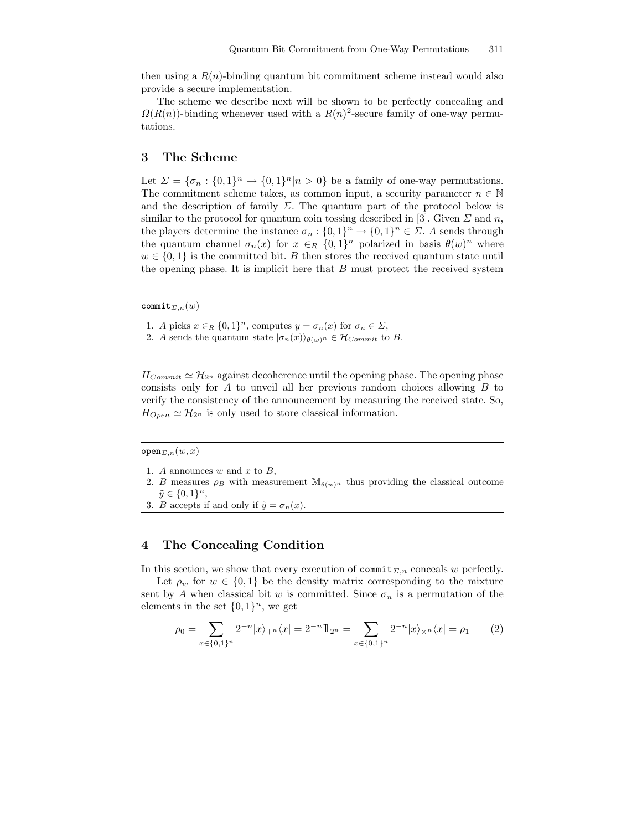then using a  $R(n)$ -binding quantum bit commitment scheme instead would also provide a secure implementation.

The scheme we describe next will be shown to be perfectly concealing and  $\Omega(R(n))$ -binding whenever used with a  $R(n)^2$ -secure family of one-way permutations.

## 3 The Scheme

Let  $\Sigma = {\sigma_n : \{0,1\}^n \to \{0,1\}^n | n > 0}$  be a family of one-way permutations. The commitment scheme takes, as common input, a security parameter  $n \in \mathbb{N}$ and the description of family  $\Sigma$ . The quantum part of the protocol below is similar to the protocol for quantum coin tossing described in [3]. Given  $\Sigma$  and n, the players determine the instance  $\sigma_n: \{0,1\}^n \to \{0,1\}^n \in \Sigma$ . A sends through the quantum channel  $\sigma_n(x)$  for  $x \in_R \{0,1\}^n$  polarized in basis  $\theta(w)^n$  where  $w \in \{0,1\}$  is the committed bit. B then stores the received quantum state until the opening phase. It is implicit here that  $B$  must protect the received system

commit<sub>Σ,n</sub> $(w)$ 

1. A picks  $x \in_R \{0,1\}^n$ , computes  $y = \sigma_n(x)$  for  $\sigma_n \in \Sigma$ ,

2. A sends the quantum state  $|\sigma_n(x)\rangle_{\theta(w)^n} \in \mathcal{H}_{Commit}$  to B.

 $H_{Commit} \simeq \mathcal{H}_{2^n}$  against decoherence until the opening phase. The opening phase consists only for  $A$  to unveil all her previous random choices allowing  $B$  to verify the consistency of the announcement by measuring the received state. So,  $H_{Open} \simeq \mathcal{H}_{2^n}$  is only used to store classical information.

 $open_{\Sigma,n}(w,x)$ 

- 1. A announces  $w$  and  $x$  to  $B$ ,
- 2. B measures  $\rho_B$  with measurement  $\mathbb{M}_{\theta(w)^n}$  thus providing the classical outcome  $\tilde{y} \in \{0, 1\}^n$ ,
- 3. *B* accepts if and only if  $\tilde{y} = \sigma_n(x)$ .

## 4 The Concealing Condition

In this section, we show that every execution of commit<sub> $\Sigma,n$ </sub> conceals w perfectly.

Let  $\rho_w$  for  $w \in \{0,1\}$  be the density matrix corresponding to the mixture sent by A when classical bit w is committed. Since  $\sigma_n$  is a permutation of the elements in the set  $\{0,1\}^n$ , we get

$$
\rho_0 = \sum_{x \in \{0,1\}^n} 2^{-n} |x\rangle_{+^n} \langle x| = 2^{-n} 1 \! \! 1_{2^n} = \sum_{x \in \{0,1\}^n} 2^{-n} |x\rangle_{\times^n} \langle x| = \rho_1 \qquad (2)
$$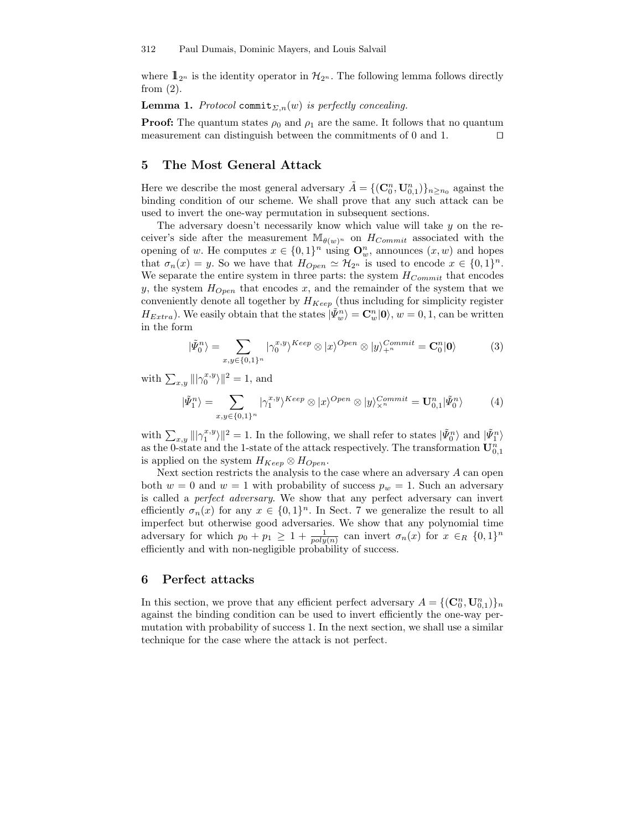where  $\mathbb{1}_{2^n}$  is the identity operator in  $\mathcal{H}_{2^n}$ . The following lemma follows directly from  $(2)$ .

**Lemma 1.** Protocol commit<sub> $\Sigma,n(w)$ </sub> is perfectly concealing.

**Proof:** The quantum states  $\rho_0$  and  $\rho_1$  are the same. It follows that no quantum measurement can distinguish between the commitments of 0 and 1.  $\Box$ 

## 5 The Most General Attack

Here we describe the most general adversary  $\tilde{A} = \{(\mathbf{C}_0^n, \mathbf{U}_{0,1}^n)\}_{n \geq n_0}$  against the binding condition of our scheme. We shall prove that any such attack can be used to invert the one-way permutation in subsequent sections.

The adversary doesn't necessarily know which value will take y on the receiver's side after the measurement  $\mathbb{M}_{\theta(w)^n}$  on  $H_{Commit}$  associated with the opening of w. He computes  $x \in \{0,1\}^n$  using  $\mathbf{O}_w^n$ , announces  $(x, w)$  and hopes that  $\sigma_n(x) = y$ . So we have that  $H_{Open} \simeq \mathcal{H}_{2^n}$  is used to encode  $x \in \{0,1\}^n$ . We separate the entire system in three parts: the system  $H_{Commit}$  that encodes y, the system  $H_{Open}$  that encodes x, and the remainder of the system that we conveniently denote all together by  $H_{Keep}$  (thus including for simplicity register  $H_{Extra}$ ). We easily obtain that the states  $|\tilde{\Psi}_{w}^{n}\rangle = \mathbf{C}_{w}^{n}|\mathbf{0}\rangle$ ,  $w = 0, 1$ , can be written in the form

$$
|\tilde{\Psi}_0^n\rangle = \sum_{x,y \in \{0,1\}^n} |\gamma_0^{x,y}\rangle^{Keep} \otimes |x\rangle^{Open} \otimes |y\rangle_{+^n}^{Commit} = \mathbf{C}_0^n |\mathbf{0}\rangle \tag{3}
$$

with  $\sum_{x,y} |||\gamma_0^{x,y}\rangle||^2 = 1$ , and

$$
|\tilde{\Psi}_1^n\rangle = \sum_{x,y \in \{0,1\}^n} |\gamma_1^{x,y}\rangle^{Keep} \otimes |x\rangle^{Open} \otimes |y\rangle^{Commit}_{\times^n} = \mathbf{U}_{0,1}^n |\tilde{\Psi}_0^n\rangle \tag{4}
$$

with  $\sum_{x,y} ||\gamma_1^{x,y} \rangle||^2 = 1$ . In the following, we shall refer to states  $|\tilde{\Psi}_0^n \rangle$  and  $|\tilde{\Psi}_1^n \rangle$ as the 0-state and the 1-state of the attack respectively. The transformation  $\mathbf{U}_{0,1}^n$ is applied on the system  $H_{Keep} \otimes H_{Open}$ .

Next section restricts the analysis to the case where an adversary A can open both  $w = 0$  and  $w = 1$  with probability of success  $p_w = 1$ . Such an adversary is called a perfect adversary. We show that any perfect adversary can invert efficiently  $\sigma_n(x)$  for any  $x \in \{0,1\}^n$ . In Sect. 7 we generalize the result to all imperfect but otherwise good adversaries. We show that any polynomial time adversary for which  $p_0 + p_1 \geq 1 + \frac{1}{poly(n)}$  can invert  $\sigma_n(x)$  for  $x \in_R \{0,1\}^n$ efficiently and with non-negligible probability of success.

## 6 Perfect attacks

In this section, we prove that any efficient perfect adversary  $A = \{(\mathbf{C}_0^n, \mathbf{U}_{0,1}^n)\}_n$ against the binding condition can be used to invert efficiently the one-way permutation with probability of success 1. In the next section, we shall use a similar technique for the case where the attack is not perfect.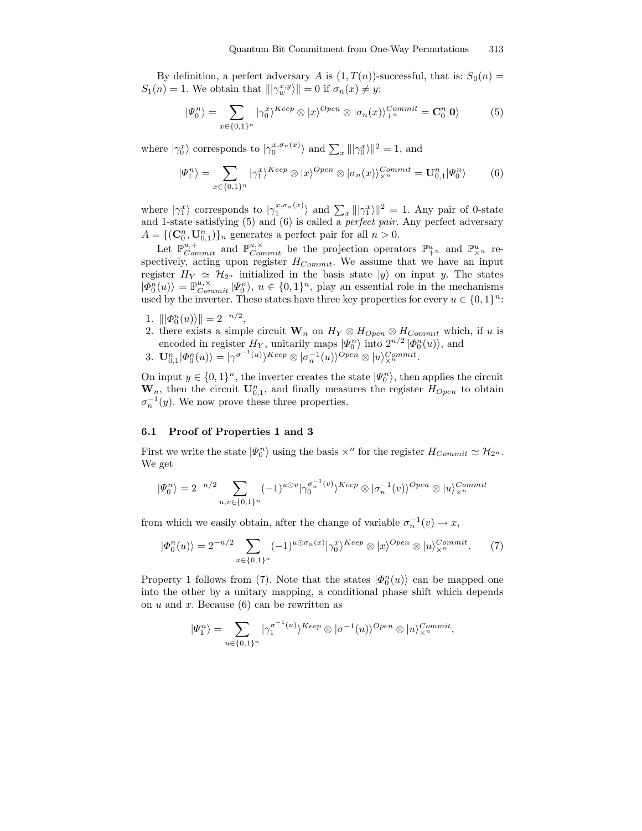By definition, a perfect adversary A is  $(1, T(n))$ -successful, that is:  $S_0(n)$  =  $S_1(n) = 1$ . We obtain that  $\|\gamma_w^{x,y}\rangle\| = 0$  if  $\sigma_n(x) \neq y$ :

$$
|\Psi_0^n\rangle = \sum_{x \in \{0,1\}^n} |\gamma_0^x\rangle^{Keep} \otimes |x\rangle^{Open} \otimes |\sigma_n(x)\rangle_{+^n}^{Commit} = \mathbf{C}_0^n |\mathbf{0}\rangle \tag{5}
$$

where  $|\gamma_0^x\rangle$  corresponds to  $|\gamma_0^{x,\sigma_n(x)}\rangle$  and  $\sum_x ||\gamma_0^x\rangle||^2 = 1$ , and

$$
|\Psi_1^n\rangle = \sum_{x \in \{0,1\}^n} |\gamma_1^x\rangle^{Keep} \otimes |x\rangle^{Open} \otimes |\sigma_n(x)\rangle_{\times^n}^{Commit} = \mathbf{U}_{0,1}^n |\Psi_0^n\rangle \tag{6}
$$

where  $|\gamma_1^x\rangle$  corresponds to  $|\gamma_1^{x,\sigma_n(x)}\rangle$  and  $\sum_x |||\gamma_1^x\rangle||^2 = 1$ . Any pair of 0-state and 1-state satisfying  $(5)$  and  $(6)$  is called a *perfect pair*. Any perfect adversary  $A = \{(\mathbf{C}_0^n, \mathbf{U}_{0,1}^n)\}_n$  generates a perfect pair for all  $n > 0$ .

Let  $\mathbb{P}_{Commit}^{u,+}$  and  $\mathbb{P}_{Commit}^{u,\times}$  be the projection operators  $\mathbb{P}_{+^n}^u$  and  $\mathbb{P}_{\times}^u$  respectively, acting upon register  $H_{Commit}$ . We assume that we have an input register  $H_Y \simeq \mathcal{H}_{2^n}$  initialized in the basis state  $|y\rangle$  on input y. The states  $|\Phi_0^n(u)\rangle = \mathbb{P}_{Commit}^{u,\times} |\Psi_0^n\rangle, u \in \{0,1\}^n$ , play an essential role in the mechanisms used by the inverter. These states have three key properties for every  $u \in \{0,1\}^n$ :

- 1.  $\|\phi_0^n(u)\rangle\| = 2^{-n/2},$
- 2. there exists a simple circuit  $\mathbf{W}_n$  on  $H_Y \otimes H_{Open} \otimes H_{Commit}$  which, if u is encoded in register  $H_Y$ , unitarily maps  $|\Psi_0^n\rangle$  into  $2^{n/2} |\Phi_0^n(u)\rangle$ , and
- 3.  $\mathbf{U}_{0,1}^n | \Phi_0^n(u) \rangle = |\gamma^{\sigma^{-1}(u)} \rangle^{Keep} \otimes |\sigma_n^{-1}(u) \rangle^{Open} \otimes |u \rangle_{\times}^{Commit}.$

On input  $y \in \{0,1\}^n$ , the inverter creates the state  $|\Psi_0^n\rangle$ , then applies the circuit  $\mathbf{W}_n$ , then the circuit  $\mathbf{U}_{0,1}^n$ , and finally measures the register  $H_{Open}$  to obtain  $\sigma_n^{-1}(y)$ . We now prove these three properties.

#### 6.1 Proof of Properties 1 and 3

First we write the state  $|\Psi_0^n\rangle$  using the basis  $\times^n$  for the register  $H_{Commit} \simeq \mathcal{H}_{2^n}$ . We get

$$
|\Psi_0^n\rangle = 2^{-n/2} \sum_{u,v \in \{0,1\}^n} (-1)^{u \odot v} |\gamma_0^{\sigma_n^{-1}(v)}\rangle^{Keep} \otimes |\sigma_n^{-1}(v)\rangle^{Open} \otimes |u\rangle^{Commit}_{\times^n}
$$

from which we easily obtain, after the change of variable  $\sigma_n^{-1}(v) \to x$ ,

$$
|\Phi_0^n(u)\rangle = 2^{-n/2} \sum_{x \in \{0,1\}^n} (-1)^{u \odot \sigma_n(x)} |\gamma_0^x\rangle^{Keep} \otimes |x\rangle^{Open} \otimes |u\rangle_{\times^n}^{Commit}.
$$
 (7)

Property 1 follows from (7). Note that the states  $|\Phi_0^n(u)\rangle$  can be mapped one into the other by a unitary mapping, a conditional phase shift which depends on  $u$  and  $x$ . Because (6) can be rewritten as

$$
|\Psi_1^n\rangle = \sum_{u \in \{0,1\}^n} |\gamma_1^{\sigma^{-1}(u)}\rangle^{Keep} \otimes |\sigma^{-1}(u)\rangle^{Open} \otimes |u\rangle_{\times^n}^{Commit},
$$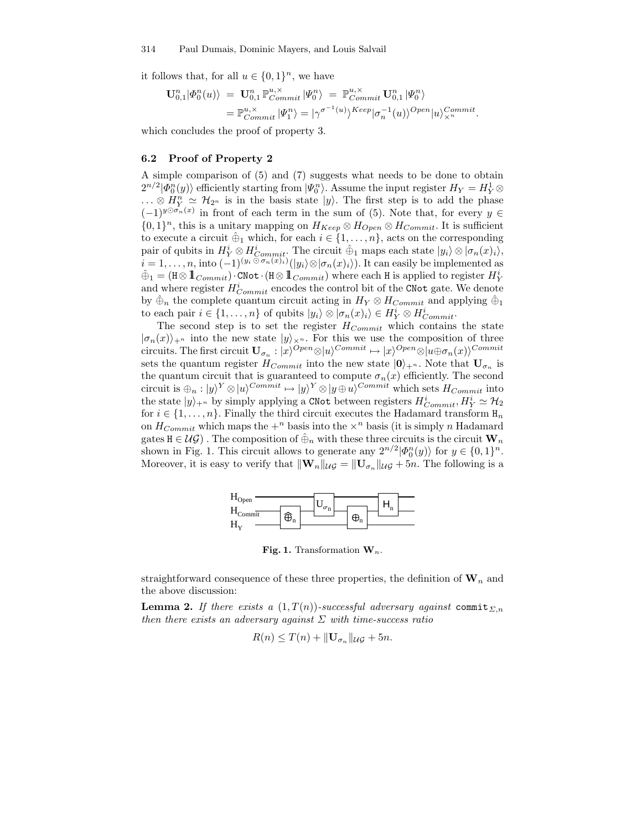it follows that, for all  $u \in \{0,1\}^n$ , we have

$$
\mathbf{U}_{0,1}^n |\varPhi_0^n(u)\rangle = \mathbf{U}_{0,1}^n \mathbb{P}_{Commit}^{u,\times} |\Psi_0^n\rangle = \mathbb{P}_{Commit}^{u,\times} \mathbf{U}_{0,1}^n |\varPhi_0^n\rangle
$$
  
= 
$$
\mathbb{P}_{Commit}^{u,\times} |\varPsi_1^n\rangle = |\gamma^{\sigma^{-1}(u)}\rangle^{Keep} |\sigma_n^{-1}(u)\rangle^{Open} |u\rangle_{\times}^{Commit}.
$$

which concludes the proof of property 3.

#### 6.2 Proof of Property 2

A simple comparison of (5) and (7) suggests what needs to be done to obtain  $2^{n/2} |\Phi_0^n(y)\rangle$  efficiently starting from  $|\Psi_0^n\rangle$ . Assume the input register  $H_Y = H_Y^1 \otimes$  $\ldots \otimes H_Y^n \simeq \mathcal{H}_{2^n}$  is in the basis state  $|y\rangle$ . The first step is to add the phase  $(-1)^{y\odot\sigma_n(x)}$  in front of each term in the sum of (5). Note that, for every  $y \in$  ${0,1}^n$ , this is a unitary mapping on  $H_{Keep} \otimes H_{Open} \otimes H_{Commit}$ . It is sufficient to execute a circuit  $\hat{\Theta}_1$  which, for each  $i \in \{1, \ldots, n\}$ , acts on the corresponding pair of qubits in  $H_Y^i \otimes H_{Commit}^i$ . The circuit  $\hat{\oplus}_1$  maps each state  $|y_i\rangle \otimes |\sigma_n(x)_i\rangle$ ,  $i = 1, \ldots, n$ , into  $(-1)^{(y_i \odot \sigma_n(x)_i)}(|y_i\rangle \otimes |\sigma_n(x)_i\rangle)$ . It can easily be implemented as  $\hat{\oplus}_1 = (\text{H} \otimes \text{1\hskip-4.7pt{\rm l}}_{Commit}) \cdot \text{CNot} \cdot (\text{H} \otimes \text{1\hskip-4.7pt{\rm l}}_{Commit})$  where each H is applied to register  $H_Y^i$ and where register  $H_{Commit}^i$  encodes the control bit of the CNot gate. We denote by  $\hat{\oplus}_n$  the complete quantum circuit acting in  $H_Y \otimes H_{Commit}$  and applying  $\hat{\oplus}_1$ to each pair  $i \in \{1, ..., n\}$  of qubits  $|y_i\rangle \otimes |\sigma_n(x)_i\rangle \in H_Y^i \otimes H_{Commit}^i$ .

The second step is to set the register  $H_{Commit}$  which contains the state  $|\sigma_n(x)\rangle_{\mathcal{F}^n}$  into the new state  $|y\rangle_{\mathcal{F}^n}$ . For this we use the composition of three circuits. The first circuit  $\mathbf{U}_{\sigma_n}: |x\rangle^{Open} \otimes |u\rangle^{Commit} \mapsto |x\rangle^{Open} \otimes |u \oplus \sigma_n(x)\rangle^{Commit}$ sets the quantum register  $H_{Commit}$  into the new state  $|0\rangle_{+n}$ . Note that  $U_{\sigma_n}$  is the quantum circuit that is guaranteed to compute  $\sigma_n(x)$  efficiently. The second circuit is  $\bigoplus_n : |y|^Y \otimes |u|^{\text{Commit}} \mapsto |y|^Y \otimes |y \oplus u)^{\text{Commit}}$  which sets  $H_{Commit}$  into the state  $|y\rangle_{+^n}$  by simply applying a CNot between registers  $H^i_{Commit}, H^i_Y \simeq \mathcal{H}_2$ for  $i \in \{1, \ldots, n\}$ . Finally the third circuit executes the Hadamard transform  $H_n$ on  $H_{Commit}$  which maps the  $+^n$  basis into the  $\times^n$  basis (it is simply n Hadamard gates  $H \in U \mathcal{G}$ . The composition of  $\hat{\oplus}_n$  with these three circuits is the circuit  $W_n$ shown in Fig. 1. This circuit allows to generate any  $2^{n/2} |\Phi_0^n(y)\rangle$  for  $y \in \{0,1\}^n$ . Moreover, it is easy to verify that  $\|\mathbf{W}_n\|_{\mathcal{U}\mathcal{G}} = \|\mathbf{U}_{\sigma_n}\|_{\mathcal{U}\mathcal{G}} + 5n$ . The following is a



Fig. 1. Transformation  $W_n$ .

straightforward consequence of these three properties, the definition of  $\mathbf{W}_n$  and the above discussion:

**Lemma 2.** If there exists a  $(1, T(n))$ -successful adversary against commit<sub> $\Sigma$ ,n</sub> then there exists an adversary against  $\Sigma$  with time-success ratio

$$
R(n) \leq T(n) + \|\mathbf{U}_{\sigma_n}\|_{\mathcal{U}\mathcal{G}} + 5n.
$$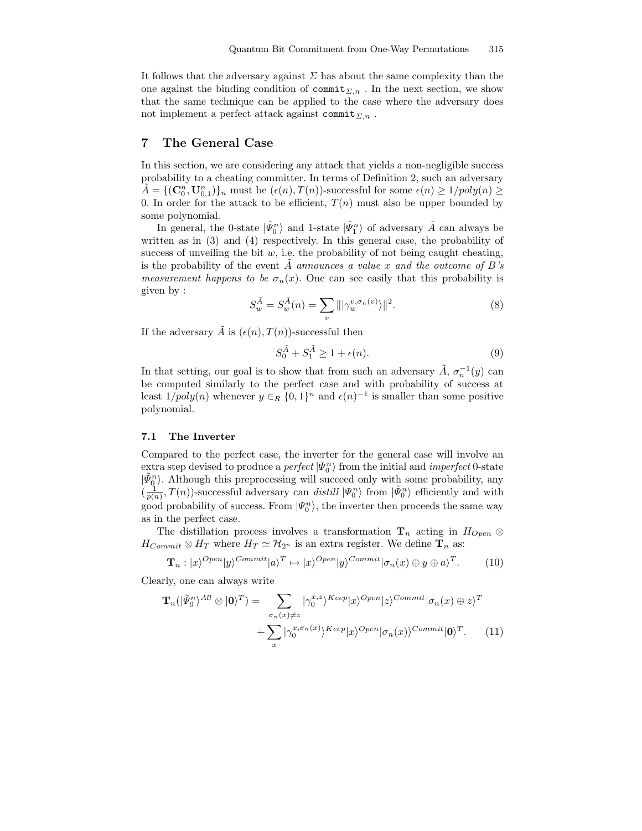It follows that the adversary against  $\Sigma$  has about the same complexity than the one against the binding condition of  $\text{commit}_{\Sigma,n}$ . In the next section, we show that the same technique can be applied to the case where the adversary does not implement a perfect attack against commit<sub> $\Sigma$ ,n</sub>.

## 7 The General Case

In this section, we are considering any attack that yields a non-negligible success probability to a cheating committer. In terms of Definition 2, such an adversary  $\tilde{A} = \{(\mathbf{C}_0^n, \mathbf{U}_{0,1}^n)\}_n$  must be  $(\epsilon(n), T(n))$ -successful for some  $\epsilon(n) \geq 1/poly(n) \geq$ 0. In order for the attack to be efficient,  $T(n)$  must also be upper bounded by some polynomial.

In general, the 0-state  $|\tilde{\Psi}_0^n\rangle$  and 1-state  $|\tilde{\Psi}_1^n\rangle$  of adversary  $\tilde{A}$  can always be written as in (3) and (4) respectively. In this general case, the probability of success of unveiling the bit  $w$ , i.e. the probability of not being caught cheating, is the probability of the event A announces a value x and the outcome of  $B$ 's measurement happens to be  $\sigma_n(x)$ . One can see easily that this probability is given by :

$$
S_w^{\tilde{A}} = S_w^{\tilde{A}}(n) = \sum_v |||\gamma_w^{v, \sigma_n(v)}\rangle||^2.
$$
 (8)

If the adversary  $\tilde{A}$  is  $(\epsilon(n), T(n))$ -successful then

$$
S_0^{\tilde{A}} + S_1^{\tilde{A}} \ge 1 + \epsilon(n). \tag{9}
$$

In that setting, our goal is to show that from such an adversary  $\tilde{A}$ ,  $\sigma_n^{-1}(y)$  can be computed similarly to the perfect case and with probability of success at least  $1/poly(n)$  whenever  $y \in_R \{0,1\}^n$  and  $\epsilon(n)^{-1}$  is smaller than some positive polynomial.

#### 7.1 The Inverter

Compared to the perfect case, the inverter for the general case will involve an extra step devised to produce a *perfect*  $|\Psi_0^n\rangle$  from the initial and *imperfect* 0-state  $|\tilde{\Psi}_{0}^{n}\rangle$ . Although this preprocessing will succeed only with some probability, any  $\left(\frac{1}{p(n)}, T(n)\right)$ -successful adversary can *distill*  $|\Psi_0^n\rangle$  from  $|\tilde{\Psi}_0^n\rangle$  efficiently and with good probability of success. From  $|\Psi_0^n\rangle$ , the inverter then proceeds the same way as in the perfect case.

The distillation process involves a transformation  $\mathbf{T}_n$  acting in  $H_{Open} \otimes$  $H_{Commit} \otimes H_T$  where  $H_T \simeq \mathcal{H}_{2^n}$  is an extra register. We define  $\mathbf{T}_n$  as:

$$
\mathbf{T}_n : |x\rangle^{Open}|y\rangle^{Commit}|a\rangle^T \mapsto |x\rangle^{Open}|y\rangle^{Commit}|\sigma_n(x) \oplus y \oplus a\rangle^T. \tag{10}
$$

Clearly, one can always write

$$
\mathbf{T}_{n}(|\tilde{\Psi}_{0}^{n}\rangle^{All} \otimes |\mathbf{0}\rangle^{T}) = \sum_{\sigma_{n}(x)\neq z} |\gamma_{0}^{x,z}\rangle^{Keep}|x\rangle^{Open}|z\rangle^{Commit}|\sigma_{n}(x) \oplus z\rangle^{T} + \sum_{x} |\gamma_{0}^{x,\sigma_{n}(x)}\rangle^{Keep}|x\rangle^{Open}|\sigma_{n}(x)\rangle^{Commit}|\mathbf{0}\rangle^{T}.
$$
 (11)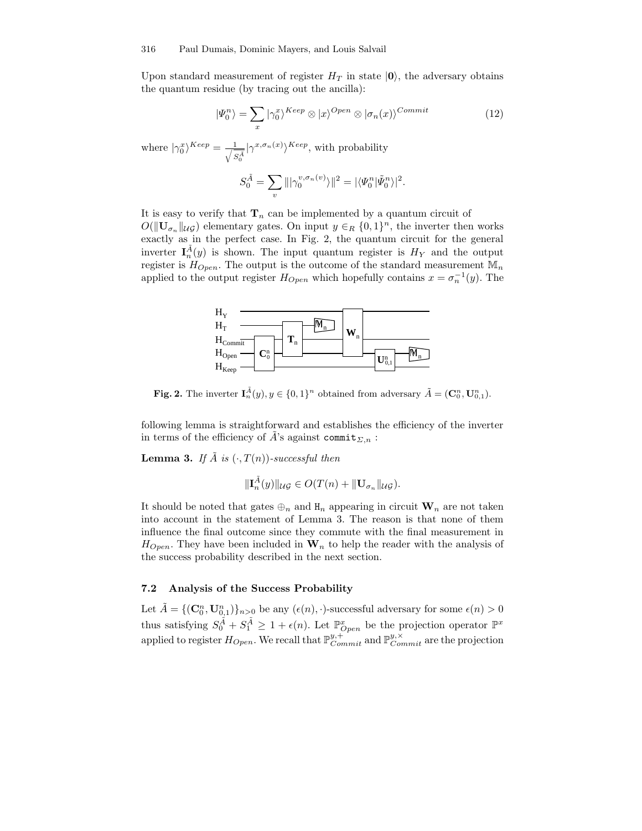Upon standard measurement of register  $H_T$  in state  $|0\rangle$ , the adversary obtains the quantum residue (by tracing out the ancilla):

$$
|\Psi_0^n\rangle = \sum_x |\gamma_0^x\rangle^{Keep} \otimes |x\rangle^{Open} \otimes |\sigma_n(x)\rangle^{Commit}
$$
 (12)

where  $|\gamma_0^x\rangle^{Keep} = \frac{1}{\sqrt{s}}$  $\frac{1}{S_0^{\overline{A}}}|\gamma^{x,\sigma_n(x)}\rangle^{Keep}$ , with probability

$$
S^{\tilde{A}}_0=\sum_v\||\gamma_0^{v,\sigma_n(v)}\rangle\|^2=|\langle \varPsi_0^n|\tilde{\varPsi}^n_0\rangle|^2.
$$

It is easy to verify that  $\mathbf{T}_n$  can be implemented by a quantum circuit of  $O(||\mathbf{U}_{\sigma_n}||_{\mathcal{U}\mathcal{G}})$  elementary gates. On input  $y \in_R \{0,1\}^n$ , the inverter then works exactly as in the perfect case. In Fig. 2, the quantum circuit for the general inverter  $I_n^{\tilde{A}}(y)$  is shown. The input quantum register is  $H_Y$  and the output register is  $H_{Open}$ . The output is the outcome of the standard measurement  $\mathbb{M}_{n}$ applied to the output register  $H_{Open}$  which hopefully contains  $x = \sigma_n^{-1}(y)$ . The



**Fig. 2.** The inverter  $I_n^{\tilde{A}}(y), y \in \{0,1\}^n$  obtained from adversary  $\tilde{A} = (\mathbf{C}_0^n, \mathbf{U}_{0,1}^n)$ .

following lemma is straightforward and establishes the efficiency of the inverter in terms of the efficiency of A's against commit<sub> $\Sigma_n$ </sub> :

**Lemma 3.** If  $\tilde{A}$  is  $(\cdot, T(n))$ -successful then

$$
\|\mathbf{I}_n^{\tilde{A}}(y)\|_{\mathcal{UG}} \in O(T(n) + \|\mathbf{U}_{\sigma_n}\|_{\mathcal{UG}}).
$$

It should be noted that gates  $\oplus_n$  and  $\mathbf{H}_n$  appearing in circuit  $\mathbf{W}_n$  are not taken into account in the statement of Lemma 3. The reason is that none of them influence the final outcome since they commute with the final measurement in  $H_{Open}$ . They have been included in  $W_n$  to help the reader with the analysis of the success probability described in the next section.

## 7.2 Analysis of the Success Probability

Let  $\tilde{A} = \{(\mathbf{C}_0^n, \mathbf{U}_{0,1}^n)\}_{n>0}$  be any  $(\epsilon(n), \cdot)$ -successful adversary for some  $\epsilon(n) > 0$ thus satisfying  $S_0^{\tilde{A}} + S_1^{\tilde{A}} \geq 1 + \epsilon(n)$ . Let  $\mathbb{P}^x_{Open}$  be the projection operator  $\mathbb{P}^x$ applied to register  $H_{Open}$ . We recall that  $\mathbb{P}^{y,+}_{Commit}$  and  $\mathbb{P}^{y,\times}_{Commit}$  are the projection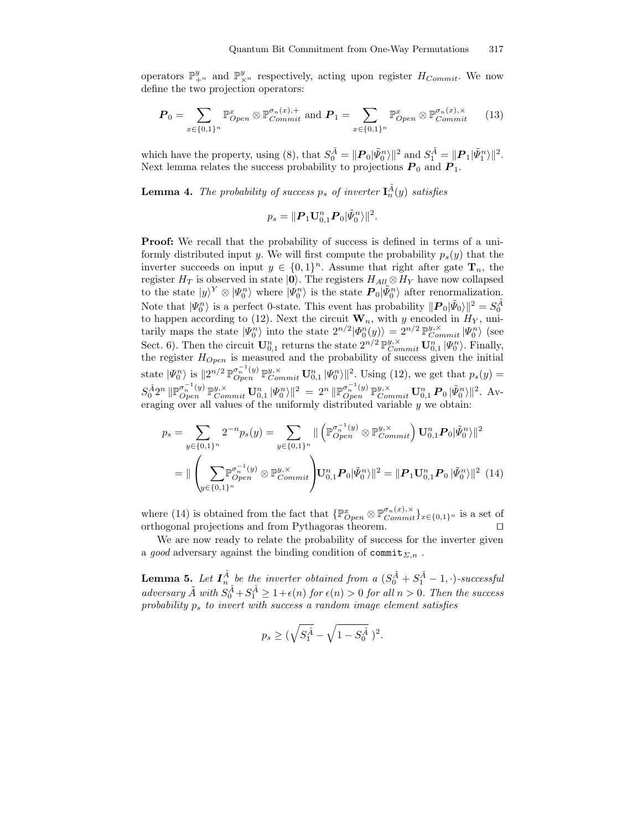operators  $\mathbb{P}^y_{+^n}$  and  $\mathbb{P}^y_{\times^n}$  respectively, acting upon register  $H_{Commit}$ . We now define the two projection operators:

$$
\boldsymbol{P}_0 = \sum_{x \in \{0,1\}^n} \mathbb{P}_{Open}^x \otimes \mathbb{P}_{Commit}^{\sigma_n(x),+} \text{ and } \boldsymbol{P}_1 = \sum_{x \in \{0,1\}^n} \mathbb{P}_{Open}^x \otimes \mathbb{P}_{Commit}^{\sigma_n(x),\times} \qquad (13)
$$

which have the property, using (8), that  $S_0^{\tilde{A}} = ||P_0|\tilde{\Psi}_0^n\rangle||^2$  and  $S_1^{\tilde{A}} = ||P_1|\tilde{\Psi}_1^n\rangle||^2$ . Next lemma relates the success probability to projections  $P_0$  and  $P_1$ .

**Lemma 4.** The probability of success  $p_s$  of inverter  $I_n^{\tilde{A}}(y)$  satisfies

$$
p_s = \Vert \boldsymbol{P}_1 \mathbf{U}_{0,1}^n \boldsymbol{P}_0 \vert \tilde{\psi}_0^n \rangle \Vert^2.
$$

**Proof:** We recall that the probability of success is defined in terms of a uniformly distributed input y. We will first compute the probability  $p_s(y)$  that the inverter succeeds on input  $y \in \{0,1\}^n$ . Assume that right after gate  $\mathbf{T}_n$ , the register  $H_T$  is observed in state  $|0\rangle$ . The registers  $H_{All} \otimes H_Y$  have now collapsed to the state  $|y|^Y \otimes |\Psi_0^n\rangle$  where  $|\Psi_0^n\rangle$  is the state  $P_0|\tilde{\Psi}_0^n\rangle$  after renormalization. Note that  $|\Psi_0^n\rangle$  is a perfect 0-state. This event has probability  $||\mathbf{P}_0|\tilde{\Psi}_0\rangle||^2 = S_0^{\tilde{A}}$ to happen according to (12). Next the circuit  $\mathbf{W}_n$ , with y encoded in  $H_Y$ , unitarily maps the state  $|\Psi_0^n\rangle$  into the state  $2^{n/2}|\Phi_0^n(y)\rangle = 2^{n/2} \mathbb{P}_{Commit}^{y,\times} |\Psi_0^n\rangle$  (see Sect. 6). Then the circuit  $\mathbf{U}_{0,1}^n$  returns the state  $2^{n/2} \mathbb{P}_{Commit}^{y,\times} \mathbf{U}_{0,1}^n |\Psi_0^n\rangle$ . Finally, the register  $H_{Open}$  is measured and the probability of success given the initial state  $|\Psi_0^n\rangle$  is  $||2^{n/2} \mathbb{P}_{Open}^{\sigma_n^{-1}(y)} \mathbb{P}_{Commit}^{y,\times} \mathbf{U}_{0,1}^n |\Psi_0^n\rangle||^2$ . Using (12), we get that  $p_s(y)$  =  $S_0^{\tilde{A}}2^n\ \|\mathbb{P}_{Open}^{\sigma_n^{-1}(y)}\mathbb{P}_{Commit}^{y,\times}\mathbf{U}_{0,1}^n\ |\Psi_0^n\rangle\|^2\ =\ 2^n\ \|\mathbb{P}_{Open}^{\sigma_n^{-1}(y)}\mathbb{P}_{Commit}^{y,\times}\mathbf{U}_{0,1}^n\ \boldsymbol{P}_0\ |\tilde{\varPsi}_0^n\rangle\|^2.\ \text{Av-}$ eraging over all values of the uniformly distributed variable  $y$  we obtain:

$$
p_s = \sum_{y \in \{0,1\}^n} 2^{-n} p_s(y) = \sum_{y \in \{0,1\}^n} \| \left( \mathbb{P}_{Open}^{\sigma_n^{-1}(y)} \otimes \mathbb{P}_{Commit}^{y, \times} \right) \mathbf{U}_{0,1}^n \mathbf{P}_0 |\tilde{\Psi}_0^n\rangle \|^2
$$
  
= 
$$
\| \left( \sum_{y \in \{0,1\}^n} \mathbb{P}_{Open}^{\sigma_n^{-1}(y)} \otimes \mathbb{P}_{Commit}^{y, \times} \right) \mathbf{U}_{0,1}^n \mathbf{P}_0 |\tilde{\Psi}_0^n\rangle \|^2 = \| \mathbf{P}_1 \mathbf{U}_{0,1}^n \mathbf{P}_0 |\tilde{\Psi}_0^n\rangle \|^2 \tag{14}
$$

where (14) is obtained from the fact that  $\{\mathbb{P}^x_{Open} \otimes \mathbb{P}^{\sigma_n(x), \times}_{Commit}\}_{x \in \{0,1\}^n}$  is a set of orthogonal projections and from Pythagoras theorem.  $\square$ 

We are now ready to relate the probability of success for the inverter given a good adversary against the binding condition of commit<sub> $\Sigma,n$ </sub>.

**Lemma 5.** Let  $I_n^{\tilde{A}}$  be the inverter obtained from a  $(S_0^{\tilde{A}} + S_1^{\tilde{A}} - 1, \cdot)$ -successful adversary  $\tilde{A}$  with  $S_0^{\tilde{A}} + S_1^{\tilde{A}} \geq 1 + \epsilon(n)$  for  $\epsilon(n) > 0$  for all  $n > 0$ . Then the success probability  $p_s$  to invert with success a random image element satisfies

$$
p_s \ge (\sqrt{S_1^{\tilde{A}}} - \sqrt{1 - S_0^{\tilde{A}}})^2.
$$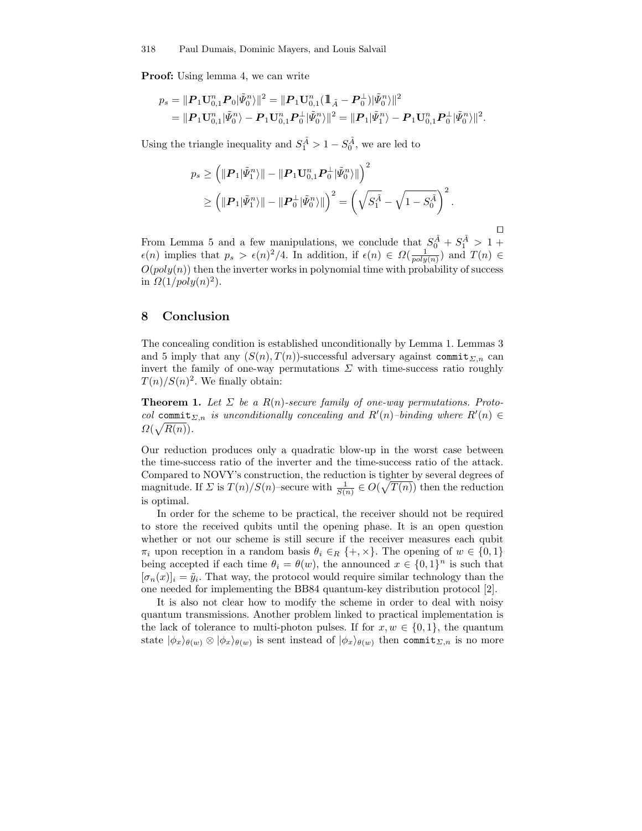Proof: Using lemma 4, we can write

$$
p_s = ||P_1 U_{0,1}^n P_0 |\tilde{\Psi}_0^n \rangle||^2 = ||P_1 U_{0,1}^n (\mathbb{1}_{\tilde{A}} - P_0^{\perp}) |\tilde{\Psi}_0^n \rangle||^2
$$
  
= 
$$
||P_1 U_{0,1}^n |\tilde{\Psi}_0^n \rangle - P_1 U_{0,1}^n P_0^{\perp} |\tilde{\Psi}_0^n \rangle||^2 = ||P_1| \tilde{\Psi}_1^n \rangle - P_1 U_{0,1}^n P_0^{\perp} |\tilde{\Psi}_0^n \rangle||^2.
$$

Using the triangle inequality and  $S_1^{\tilde{A}} > 1 - S_0^{\tilde{A}}$ , we are led to

$$
p_s \ge \left( \|\mathbf{P}_1|\tilde{\mathbf{\Psi}}_1^n\rangle \|\n- \|\mathbf{P}_1\mathbf{U}_{0,1}^n\mathbf{P}_0^\perp |\tilde{\mathbf{\Psi}}_0^n\rangle \|\right)^2
$$
  

$$
\ge \left( \|\mathbf{P}_1|\tilde{\mathbf{\Psi}}_1^n\rangle \|\n- \|\mathbf{P}_0^\perp |\tilde{\mathbf{\Psi}}_0^n\rangle \|\right)^2 = \left( \sqrt{S_1^{\tilde{A}}} - \sqrt{1-S_0^{\tilde{A}}} \right)^2.
$$

tu From Lemma 5 and a few manipulations, we conclude that  $S_0^{\tilde{A}} + S_1^{\tilde{A}} > 1 +$  $\epsilon(n)$  implies that  $p_s > \epsilon(n)^2/4$ . In addition, if  $\epsilon(n) \in \Omega(\frac{1}{poly(n)})$  and  $T(n) \in$  $O(poly(n))$  then the inverter works in polynomial time with probability of success in  $\Omega(1/poly(n)^2)$ .

#### 8 Conclusion

The concealing condition is established unconditionally by Lemma 1. Lemmas 3 and 5 imply that any  $(S(n), T(n))$ -successful adversary against commit<sub> $\Sigma_n$ </sub> can invert the family of one-way permutations  $\Sigma$  with time-success ratio roughly  $T(n)/S(n)^2$ . We finally obtain:

**Theorem 1.** Let  $\Sigma$  be a  $R(n)$ -secure family of one-way permutations. Protocol commit<sub> $\Sigma,n$ </sub> is unconditionally concealing and  $R'(n)$ -binding where  $R'(n) \in$  $\Omega(\sqrt{R(n)})$ .

Our reduction produces only a quadratic blow-up in the worst case between the time-success ratio of the inverter and the time-success ratio of the attack. Compared to NOVY's construction, the reduction is tighter by several degrees of magnitude. If  $\Sigma$  is  $T(n)/S(n)$ -secure with  $\frac{1}{S(n)} \in O(\sqrt{T(n)})$  then the reduction is optimal.

In order for the scheme to be practical, the receiver should not be required to store the received qubits until the opening phase. It is an open question whether or not our scheme is still secure if the receiver measures each qubit  $\pi_i$  upon reception in a random basis  $\theta_i \in_R \{+, \times\}$ . The opening of  $w \in \{0, 1\}$ being accepted if each time  $\theta_i = \theta(w)$ , the announced  $x \in \{0,1\}^n$  is such that  $[\sigma_n(x)]_i = \tilde{y}_i$ . That way, the protocol would require similar technology than the one needed for implementing the BB84 quantum-key distribution protocol [2].

It is also not clear how to modify the scheme in order to deal with noisy quantum transmissions. Another problem linked to practical implementation is the lack of tolerance to multi-photon pulses. If for  $x, w \in \{0, 1\}$ , the quantum state  $|\phi_x\rangle_{\theta(w)} \otimes |\phi_x\rangle_{\theta(w)}$  is sent instead of  $|\phi_x\rangle_{\theta(w)}$  then commit<sub> $\Sigma,n$ </sub> is no more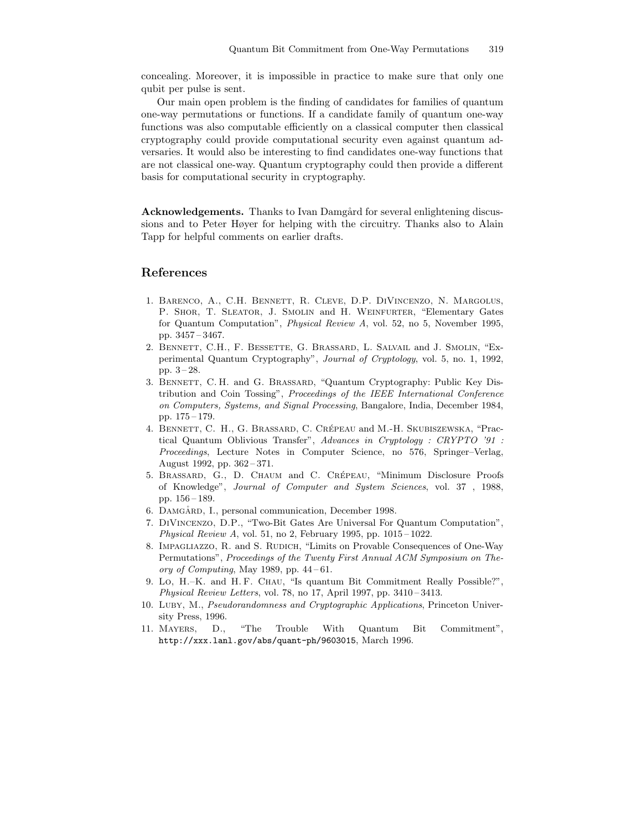concealing. Moreover, it is impossible in practice to make sure that only one qubit per pulse is sent.

Our main open problem is the finding of candidates for families of quantum one-way permutations or functions. If a candidate family of quantum one-way functions was also computable efficiently on a classical computer then classical cryptography could provide computational security even against quantum adversaries. It would also be interesting to find candidates one-way functions that are not classical one-way. Quantum cryptography could then provide a different basis for computational security in cryptography.

Acknowledgements. Thanks to Ivan Damgård for several enlightening discussions and to Peter Høyer for helping with the circuitry. Thanks also to Alain Tapp for helpful comments on earlier drafts.

## References

- 1. Barenco, A., C.H. Bennett, R. Cleve, D.P. DiVincenzo, N. Margolus, P. SHOR, T. SLEATOR, J. SMOLIN and H. WEINFURTER, "Elementary Gates for Quantum Computation", Physical Review A, vol. 52, no 5, November 1995, pp. 3457 – 3467.
- 2. Bennett, C.H., F. Bessette, G. Brassard, L. Salvail and J. Smolin, "Experimental Quantum Cryptography", Journal of Cryptology, vol. 5, no. 1, 1992, pp. 3 – 28.
- 3. Bennett, C. H. and G. Brassard, "Quantum Cryptography: Public Key Distribution and Coin Tossing", Proceedings of the IEEE International Conference on Computers, Systems, and Signal Processing, Bangalore, India, December 1984, pp. 175 – 179.
- 4. BENNETT, C. H., G. BRASSARD, C. CRÉPEAU and M.-H. SKUBISZEWSKA, "Practical Quantum Oblivious Transfer", Advances in Cryptology : CRYPTO '91 : Proceedings, Lecture Notes in Computer Science, no 576, Springer–Verlag, August 1992, pp. 362 – 371.
- 5. BRASSARD, G., D. CHAUM and C. CRÉPEAU, "Minimum Disclosure Proofs of Knowledge", Journal of Computer and System Sciences, vol. 37 , 1988, pp. 156 – 189.
- 6. DAMGÅRD, I., personal communication, December 1998.
- 7. DiVincenzo, D.P., "Two-Bit Gates Are Universal For Quantum Computation", Physical Review A, vol. 51, no 2, February 1995, pp.  $1015-1022$ .
- 8. IMPAGLIAZZO, R. and S. RUDICH, "Limits on Provable Consequences of One-Way Permutations", Proceedings of the Twenty First Annual ACM Symposium on Theory of Computing, May 1989, pp.  $44-61$ .
- 9. Lo, H.–K. and H. F. Chau, "Is quantum Bit Commitment Really Possible?", Physical Review Letters, vol. 78, no 17, April 1997, pp. 3410 – 3413.
- 10. Luby, M., Pseudorandomness and Cryptographic Applications, Princeton University Press, 1996.
- 11. Mayers, D., "The Trouble With Quantum Bit Commitment", http://xxx.lanl.gov/abs/quant-ph/9603015, March 1996.